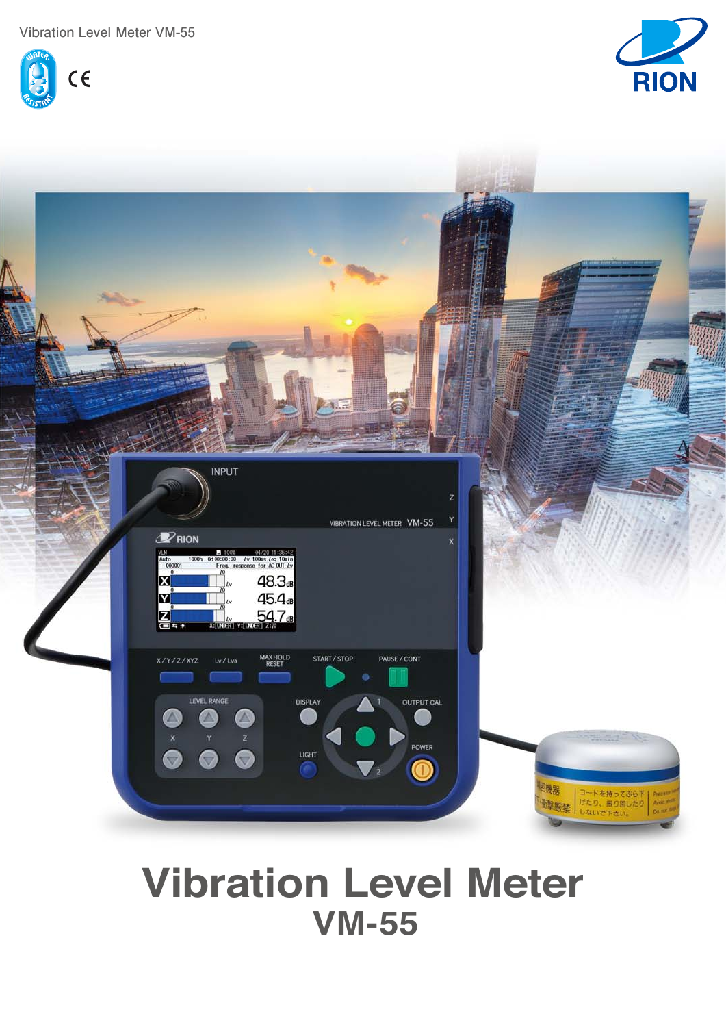**Vibration Level Meter VM-55**







# **Vibration Level Meter VM-55**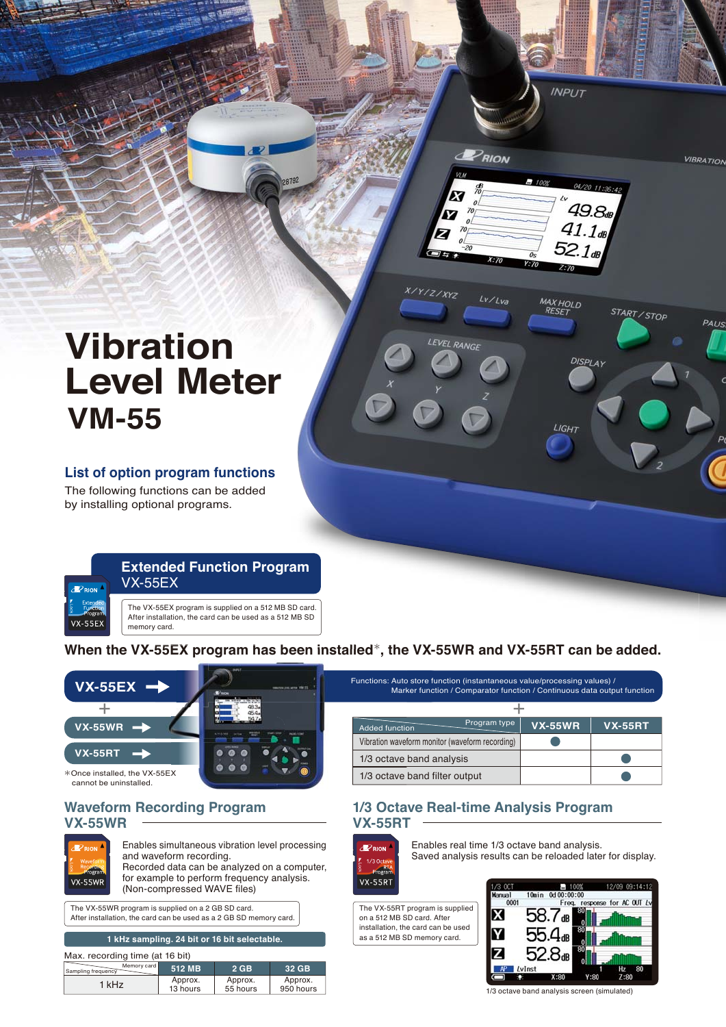# **Vibration Level Meter VM-55**

# **List of option program functions**

The following functions can be added by installing optional programs.



**When the VX-55EX program has been installed**\***, the VX-55WR and VX-55RT can be added.**



# **Waveform Recording Program cording 1/3 Octa VX-55WR**



Enables simultaneous vibration level processing and waveform recording. Recorded data can be analyzed on a computer, for example to perform frequency analysis. (Non-compressed WAVE files)

The VX-55WR program is supplied on a 2 GB SD card. After installation, the card can be used as a 2 GB SD memory card.

| 1 kHz sampling. 24 bit or 16 bit selectable. |                     |                     |                      |  |  |
|----------------------------------------------|---------------------|---------------------|----------------------|--|--|
| Max. recording time (at 16 bit)              |                     |                     |                      |  |  |
| Memory card<br>Sampling frequency            | 512 MB              | $2$ GB              | 32 GB                |  |  |
| 1 kHz                                        | Approx.<br>13 hours | Approx.<br>55 hours | Approx.<br>950 hours |  |  |

| Functions: Auto store function (instantaneous value/processing values) /<br>Marker function / Comparator function / Continuous data output function |                |                |  |  |
|-----------------------------------------------------------------------------------------------------------------------------------------------------|----------------|----------------|--|--|
|                                                                                                                                                     |                |                |  |  |
| Program type<br><b>Added function</b>                                                                                                               | <b>VX-55WR</b> | <b>VX-55RT</b> |  |  |
| Vibration waveform monitor (waveform recording)                                                                                                     |                |                |  |  |
| 1/3 octave band analysis                                                                                                                            |                |                |  |  |
| 1/3 octave band filter output                                                                                                                       |                |                |  |  |

# **1/3 Octave Real-time Analysis Program VX-55RT**



Enables real time 1/3 octave band analysis. Saved analysis results can be reloaded later for display.

The VX-55RT program is supplied on a 512 MB SD card. After installation, the card can be used as a 512 MB SD memory card.



**INPLIT** 

 $49.8<sub>st</sub>$  $41.1<sub>dB</sub>$ 52.1e

**DISPLAY** 

START / STOP

**MAX HOLD** 

LIGH<sub>1</sub>

**VIBRATION** 

PAUS

PRION

 $Lv/lva$ 

**Y/Z/XYZ** 

1/3 octave band analysis screen (simulated)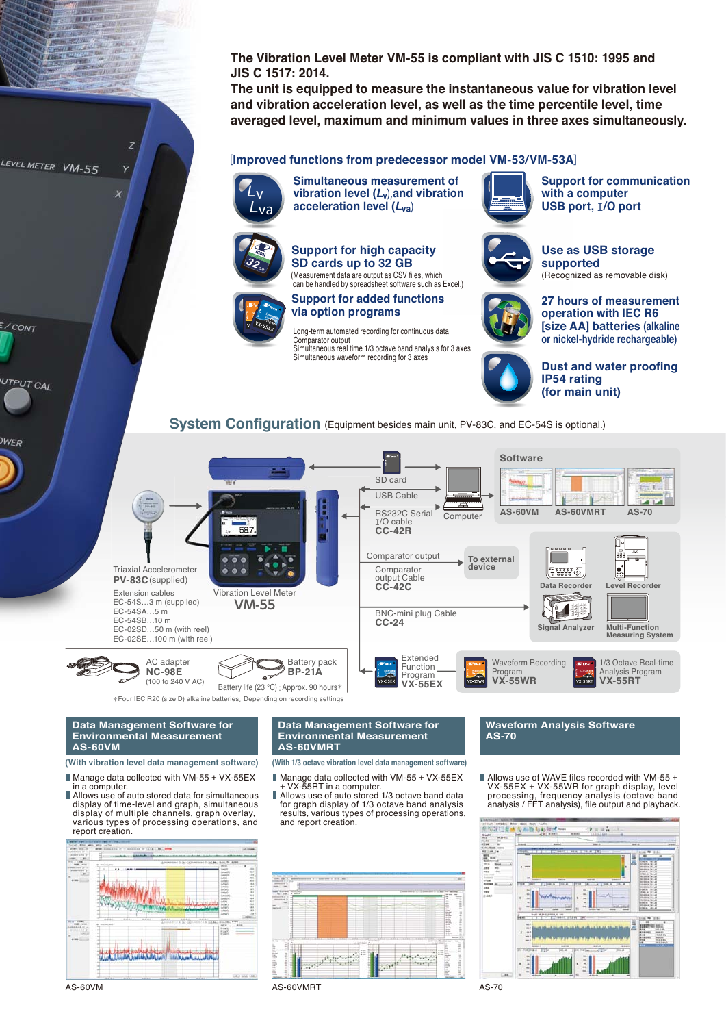**The Vibration Level Meter VM-55 is compliant with JIS C 1510: 1995 and JIS C 1517: 2014.**

**The unit is equipped to measure the instantaneous value for vibration level and vibration acceleration level, as well as the time percentile level, time averaged level, maximum and minimum values in three axes simultaneously.**

### [**Improved functions from predecessor model VM-53/VM-53A**]



**Simultaneous measurement of vibration level (***L***v**),**and vibration acceleration level (***L***va**)



**Support for high capacity SD cards up to 32 GB** (Measurement data are output as CSV files, which



## can be handled by spreadsheet software such as Excel.) **Support for added functions via option programs**

ong-term automated recording for continuous data Comparator output Simultaneous real time 1/3 octave band analysis for 3 axes Simultaneous waveform recording for 3 axes



**Support for communication with a computer USB port,** エ**/O port USB p**



### **Use as USB storage a supported suppo** (Recognized as removable disk) (Recogn



**27 hours of measurement hou operation with IEC R6 operat [size AA] batteries (alkaline or nickel-hydride rechargeable)**



**Dust and water proofing IP54 rating (for main unit)**

**System Configuration** (Equipment besides main unit, PV-83C, and EC-54S is optional.)



\*Four IEC R20 (size D) alkaline batteries,Depending on recording settings

#### **Data Management Software for Environmental Measurement AS-60VM**

#### **(With vibration level data management software)**

Manage data collected with VM-55 + VX-55EX in a computer.

■ Allows use of auto stored data for simultaneous display of time-level and graph, simultaneous display of multiple channels, graph overlay, various types of processing operations, and report creation.



LEVEL METER VM-55

 $\frac{E}{C}$ CONT

UTPUT CAL

**WER** 

#### **Data Management Software for Environmental Measurement AS-60VMRT**

**(With 1/3 octave vibration level data management software)**

- Manage data collected with VM-55 + VX-55EX<br>- + VX-55RT in a computer.
- Allows use of auto stored 1/3 octave band data П for graph display of 1/3 octave band analysis results, various types of processing operations, and report creation.





Allows use of WAVE files recorded with VM-55 + VX-55EX + VX-55WR for graph display, level processing, frequency analysis (octave band analysis / FFT analysis), file output and playback.



AS-60VM AS-70 AS-60VMRT